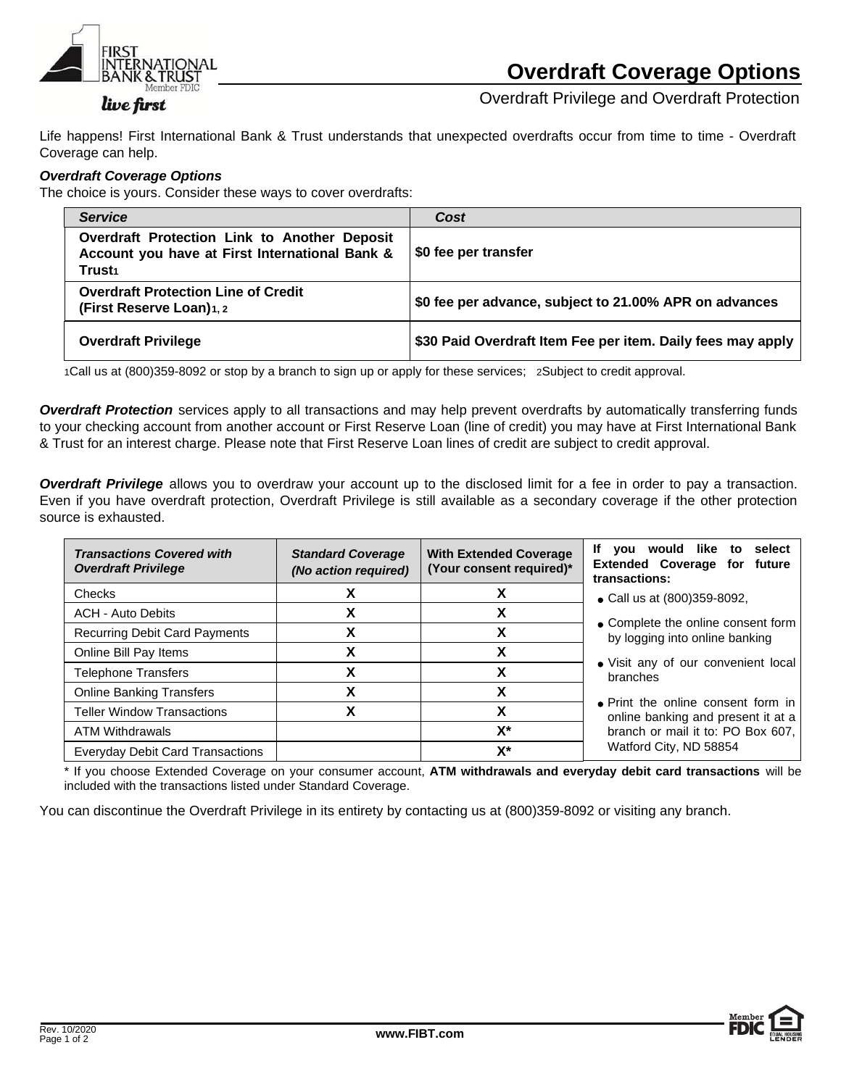

Overdraft Privilege and Overdraft Protection

Life happens! First International Bank & Trust understands that unexpected overdrafts occur from time to time - Overdraft Coverage can help.

## *Overdraft Coverage Options*

The choice is yours. Consider these ways to cover overdrafts:

| <b>Service</b>                                                                                                 | Cost                                                        |  |
|----------------------------------------------------------------------------------------------------------------|-------------------------------------------------------------|--|
| Overdraft Protection Link to Another Deposit<br>Account you have at First International Bank &<br><b>Trust</b> | S0 fee per transfer                                         |  |
| <b>Overdraft Protection Line of Credit</b><br>(First Reserve Loan)1, 2                                         | \$0 fee per advance, subject to 21.00% APR on advances      |  |
| <b>Overdraft Privilege</b>                                                                                     | \$30 Paid Overdraft Item Fee per item. Daily fees may apply |  |

1Call us at (800)359-8092 or stop by a branch to sign up or apply for these services; 2Subject to credit approval.

*Overdraft Protection* services apply to all transactions and may help prevent overdrafts by automatically transferring funds to your checking account from another account or First Reserve Loan (line of credit) you may have at First International Bank & Trust for an interest charge. Please note that First Reserve Loan lines of credit are subject to credit approval.

*Overdraft Privilege* allows you to overdraw your account up to the disclosed limit for a fee in order to pay a transaction. Even if you have overdraft protection, Overdraft Privilege is still available as a secondary coverage if the other protection source is exhausted.

| <b>Transactions Covered with</b><br><b>Overdraft Privilege</b> | <b>Standard Coverage</b><br>(No action required) | <b>With Extended Coverage</b><br>(Your consent required)* | If you would like to<br>select<br><b>Extended Coverage for future</b><br>transactions:                                                                                                                                                                             |
|----------------------------------------------------------------|--------------------------------------------------|-----------------------------------------------------------|--------------------------------------------------------------------------------------------------------------------------------------------------------------------------------------------------------------------------------------------------------------------|
| <b>Checks</b>                                                  |                                                  |                                                           | • Call us at (800)359-8092,                                                                                                                                                                                                                                        |
| <b>ACH - Auto Debits</b>                                       | х                                                | χ                                                         | • Complete the online consent form<br>by logging into online banking<br>• Visit any of our convenient local<br>branches<br>• Print the online consent form in<br>online banking and present it at a<br>branch or mail it to: PO Box 607,<br>Watford City, ND 58854 |
| <b>Recurring Debit Card Payments</b>                           | X                                                | χ                                                         |                                                                                                                                                                                                                                                                    |
| Online Bill Pay Items                                          | χ                                                | χ                                                         |                                                                                                                                                                                                                                                                    |
| <b>Telephone Transfers</b>                                     | χ                                                | χ                                                         |                                                                                                                                                                                                                                                                    |
| <b>Online Banking Transfers</b>                                | χ                                                | χ                                                         |                                                                                                                                                                                                                                                                    |
| <b>Teller Window Transactions</b>                              | χ                                                | χ                                                         |                                                                                                                                                                                                                                                                    |
| <b>ATM Withdrawals</b>                                         |                                                  | $X^*$                                                     |                                                                                                                                                                                                                                                                    |
| <b>Everyday Debit Card Transactions</b>                        |                                                  | X*                                                        |                                                                                                                                                                                                                                                                    |

\* If you choose Extended Coverage on your consumer account, **ATM withdrawals and everyday debit card transactions** will be included with the transactions listed under Standard Coverage.

You can discontinue the Overdraft Privilege in its entirety by contacting us at (800)359-8092 or visiting any branch.